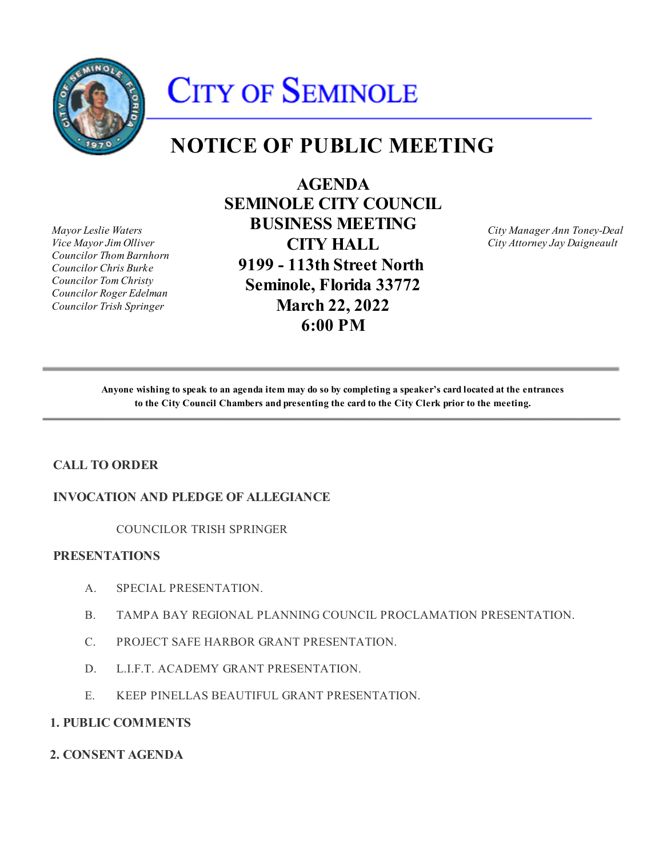

# **CITY OF SEMINOLE**

# **NOTICE OF PUBLIC MEETING**

*Mayor Leslie Waters Vice Mayor Jim Olliver Councilor Thom Barnhorn Councilor Chris Burke Councilor Tom Christy Councilor Roger Edelman Councilor Trish Springer*

**AGENDA SEMINOLE CITY COUNCIL BUSINESS MEETING CITY HALL 9199 - 113th Street North Seminole, Florida 33772 March 22, 2022 6:00 PM**

*City Manager Ann Toney-Deal City Attorney Jay Daigneault*

**Anyone wishing to speak to an agenda item may do so by completing a speaker's card located at the entrances to the City Council Chambers and presenting the card to the City Clerk prior to the meeting.**

# **CALL TO ORDER**

# **INVOCATION AND PLEDGE OF ALLEGIANCE**

COUNCILOR TRISH SPRINGER

# **PRESENTATIONS**

- A. SPECIAL PRESENTATION.
- B. TAMPA BAY REGIONAL PLANNING COUNCIL PROCLAMATION PRESENTATION.
- C. PROJECT SAFE HARBOR GRANT PRESENTATION.
- $D_{\cdot}$ D. L.I.F.T. ACADEMY GRANT PRESENTATION.
- $E_{\rm{L}}$ KEEP PINELLAS BEAUTIFUL GRANT PRESENTATION.

#### **1. PUBLIC COMMENTS**

**2. CONSENT AGENDA**